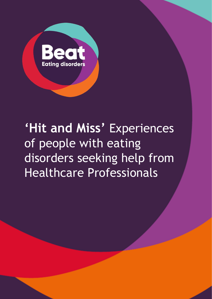

# **'Hit and Miss'** Experiences of people with eating disorders seeking help from Healthcare Professionals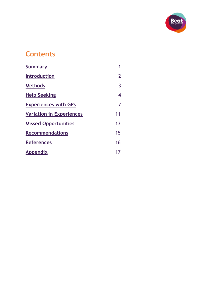

# **Contents**

| Summary                         |                |
|---------------------------------|----------------|
| <b>Introduction</b>             | $\overline{2}$ |
| <b>Methods</b>                  | 3              |
| <b>Help Seeking</b>             | 4              |
| <b>Experiences with GPs</b>     | 7              |
| <b>Variation in Experiences</b> | 11             |
| <b>Missed Opportunities</b>     | 1 <sub>3</sub> |
| <b>Recommendations</b>          | 15             |
| <b>References</b>               | 16             |
| <b>Appendix</b>                 | 17             |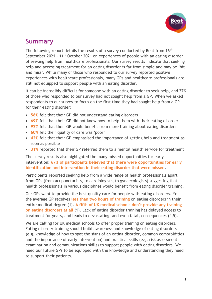

## <span id="page-2-0"></span>**Summary**

The following report details the results of a survey conducted by Beat from 16<sup>th</sup> September 2021 – 11th October 2021 on experiences of people with an eating disorder of seeking help from healthcare professionals. Our survey results indicate that seeking help and accessing treatment for an eating disorder is far from simple and may be 'hit and miss'. While many of those who responded to our survey reported positive experiences with healthcare professionals, many GPs and healthcare professionals are still not equipped to support people with an eating disorder.

It can be incredibly difficult for someone with an eating disorder to seek help, and 27% of those who responded to our survey had not sought help from a GP. When we asked respondents to our survey to focus on the first time they had sought help from a GP for their eating disorder:

- **58%** felt that their GP did not understand eating disorders
- **69%** felt that their GP did not know how to help them with their eating disorder
- **92%** felt that their GP would benefit from more training about eating disorders
- **60%** felt their quality of care was 'poor'
- **42%** felt that their GP emphasised the importance of getting help and treatment as soon as possible
- **31%** reported that their GP referred them to a mental health service for treatment

The survey results also highlighted the many missed opportunities for early intervention: **67% of participants believed that there were opportunities for early identification and intervention in their eating disorder that were missed**.

Participants reported seeking help from a wide range of health professionals apart from GPs (from acupuncturists, to cardiologists, to gynaecologists) suggesting that health professionals in various disciplines would benefit from eating disorder training.

Our GPs want to provide the best quality care for people with eating disorders. Yet the average GP receives **less than two hours of training** on eating disorders in their entire medical degree (1). **A fifth of UK medical schools don't provide any training on eating disorders at all** (1). Lack of eating disorder training has delayed access to treatment for years, and leads to devastating, and even fatal, consequences (4,5).

We are calling for UK medical schools to offer proper training on eating disorders. Eating disorder training should build awareness and knowledge of eating disorders (e.g. knowledge of how to spot the signs of an eating disorder, common comorbidities and the importance of early intervention) and practical skills (e.g. risk assessment, examination and communications skills) to support people with eating disorders. We need our future GPs to be equipped with the knowledge and understanding they need to support their patients.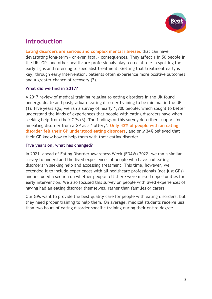

### <span id="page-3-0"></span>**Introduction**

**Eating disorders are serious and complex mental illnesses** that can have devastating long-term – or even fatal – consequences. They affect 1 in 50 people in the UK. GPs and other healthcare professionals play a crucial role in spotting the early signs and referring to specialist treatment. Getting that treatment early is key; through early intervention, patients often experience more positive outcomes and a greater chance of recovery (2).

#### **What did we find in 2017?**

A 2017 review of medical training relating to eating disorders in the UK found undergraduate and postgraduate eating disorder training to be minimal in the UK (1). Five years ago, we ran a survey of nearly 1,700 people, which sought to better understand the kinds of experiences that people with eating disorders have when seeking help from their GPs (3). The findings of this survey described support for an eating disorder from a GP as a 'lottery'. **Only 42% of people with an eating disorder felt their GP understood eating disorders**, and only 34% believed that their GP knew how to help them with their eating disorder.

#### **Five years on, what has changed?**

In 2021, ahead of Eating Disorder Awareness Week (EDAW) 2022, we ran a similar survey to understand the lived experiences of people who have had eating disorders in seeking help and accessing treatment. This time, however, we extended it to include experiences with all healthcare professionals (not just GPs) and included a section on whether people felt there were missed opportunities for early intervention. We also focused this survey on people with lived experiences of having had an eating disorder themselves, rather than families or carers.

Our GPs want to provide the best quality care for people with eating disorders, but they need proper training to help them. On average, medical students receive less than two hours of eating disorder specific training during their entire degree.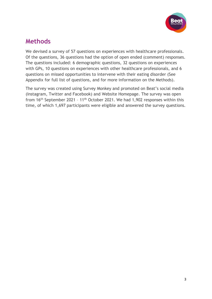

### <span id="page-4-0"></span>**Methods**

We devised a survey of 57 questions on experiences with healthcare professionals. Of the questions, 36 questions had the option of open ended (comment) responses. The questions included: 6 demographic questions, 32 questions on experiences with GPs, 10 questions on experiences with other healthcare professionals, and 6 questions on missed opportunities to intervene with their eating disorder (See Appendix for full list of questions, and for more information on the Methods).

The survey was created using Survey Monkey and promoted on Beat's social media (Instagram, Twitter and Facebook) and Website Homepage. The survey was open from 16th September 2021 – 11th October 2021. We had 1,902 responses within this time, of which 1,697 participants were eligible and answered the survey questions.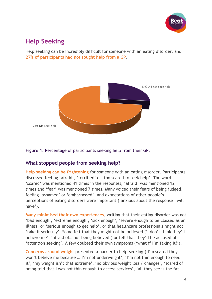

# <span id="page-5-0"></span>**Help Seeking**

Help seeking can be incredibly difficult for someone with an eating disorder, and **27% of participants had not sought help from a GP**.



**Figure 1.** Percentage of participants seeking help from their GP.

#### **What stopped people from seeking help?**

**Help seeking can be frightening** for someone with an eating disorder. Participants discussed feeling 'afraid', 'terrified' or 'too scared to seek help'. The word 'scared' was mentioned 41 times in the responses, 'afraid' was mentioned 12 times and 'fear' was mentioned 7 times. Many voiced their fears of being judged, feeling 'ashamed' or 'embarrassed', and expectations of other people's perceptions of eating disorders were important ('anxious about the response I will have').

**Many minimised their own experiences**, writing that their eating disorder was not 'bad enough', 'extreme enough', 'sick enough', 'severe enough to be classed as an illness' or 'serious enough to get help', or that healthcare professionals might not 'take it seriously'. Some felt that they might not be believed ('I don't think they'll believe me'; 'afraid of… not being believed') or felt that they'd be accused of 'attention seeking'. A few doubted their own symptoms ('what if I'm faking it?').

**Concerns around weight** presented a barrier to help-seeking ('I'm scared they won't believe me because … I'm not underweight', 'I'm not thin enough to need it', 'my weight isn't that extreme', 'no obvious weight loss / changes', 'scared of being told that I was not thin enough to access services', 'all they see is the fat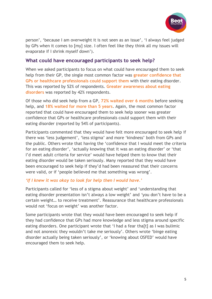

person', 'because I am overweight it is not seen as an issue', 'I always feel judged by GPs when it comes to [my] size. I often feel like they think all my issues will evaporate if I shrink myself down').

#### **What could have encouraged participants to seek help?**

When we asked participants to focus on what could have encouraged them to seek help from their GP, the single most common factor was **greater confidence that GPs or healthcare professionals could support them** with their eating disorder. This was reported by 52% of respondents. **Greater awareness about eating disorders** was reported by 42% respondents.

Of those who did seek help from a GP, **72% waited over 6 months** before seeking help, and **18% waited for more than 5 years**. Again, the most common factor reported that could have encouraged them to seek help sooner was greater confidence that GPs or healthcare professionals could support them with their eating disorder (reported by 54% of participants).

Participants commented that they would have felt more encouraged to seek help if there was 'less judgement', 'less stigma' and more 'kindness' both from GPs and the public. Others wrote that having the 'confidence that I would meet the criteria for an eating disorder', 'actually knowing that it was an eating disorder' or 'that I'd meet adult criteria for service' would have helped them to know that their eating disorder would be taken seriously. Many reported that they would have been encouraged to seek help if they'd had been reassured that their concerns were valid, or if 'people believed me that something was wrong'.

#### *'If I knew it was okay to look for help then I would have.'*

Participants called for 'less of a stigma about weight' and 'understanding that eating disorder presentation isn't always a low weight' and *'*you don't have to be a certain weight… to receive treatment'. Reassurance that healthcare professionals would not 'focus on weight' was another factor.

Some participants wrote that they would have been encouraged to seek help if they had confidence that GPs had more knowledge and less stigma around specific eating disorders. One participant wrote that 'I had a fear tha[t] as I was bulimic and not anorexic they wouldn't take me seriously'. Others wrote 'binge eating disorder actually being taken seriously', or 'knowing about OSFED' would have encouraged them to seek help.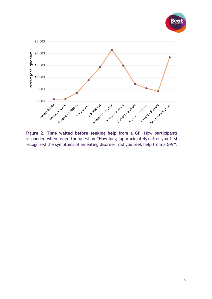



**Figure 2. Time waited before seeking help from a GP**. How participants responded when asked the question "How long (approximately) after you first recognised the symptoms of an eating disorder, did you seek help from a GP?".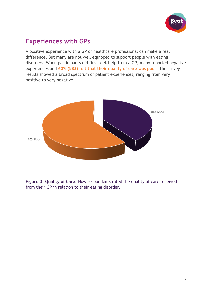

## <span id="page-8-0"></span>**Experiences with GPs**

A positive experience with a GP or healthcare professional can make a real difference. But many are not well equipped to support people with eating disorders. When participants did first seek help from a GP, many reported negative experiences and **60% (583) felt that their quality of care was poor**. The survey results showed a broad spectrum of patient experiences, ranging from very positive to very negative.



**Figure 3. Quality of Care.** How respondents rated the quality of care received from their GP in relation to their eating disorder.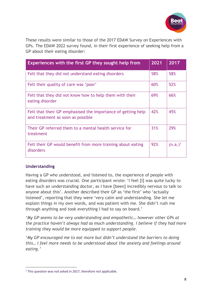

These results were similar to those of the 2017 EDAW Survey on Experiences with GPs. The EDAW 2022 survey found, in their first experience of seeking help from a GP about their eating disorder:

| <b>Experiences with the first GP they sought help from</b>                                        | 2021 | 2017       |
|---------------------------------------------------------------------------------------------------|------|------------|
| Felt that they did not understand eating disorders                                                | 58%  | 58%        |
| Felt their quality of care was 'poor'                                                             | 60%  | 52%        |
| Felt that they did not know how to help them with their<br>eating disorder                        | 69%  | 66%        |
| Felt that their GP emphasised the importance of getting help<br>and treatment as soon as possible | 42%  | 45%        |
| Their GP referred them to a mental health service for<br>treatment                                | 31%  | 29%        |
| Felt their GP would benefit from more training about eating<br>disorders                          | 92%  | $(n.a.)^1$ |

#### **Understanding**

Having a GP who understood, and listened to, the experience of people with eating disorders was crucial. One participant wrote: 'I feel [I] was quite lucky to have such an understanding doctor, as I have [been] incredibly nervous to talk to anyone about this'. Another described their GP as 'the first' who 'actually listened', reporting that they were 'very calm and understanding. She let me explain things in my own words, and was patient with me. She didn't rush me through anything and took everything I had to say on board.'

*'My GP seems to be very understanding and empathetic… however other GPs at the practice haven't always had as much understanding. I believe if they had more training they would be more equipped to support people.* 

*'My GP encouraged me to eat more but didn't understand the barriers to doing this… I feel more needs to be understood about the anxiety and feelings around eating.'* 

<sup>&</sup>lt;sup>1</sup> This question was not asked in 2017, therefore not applicable.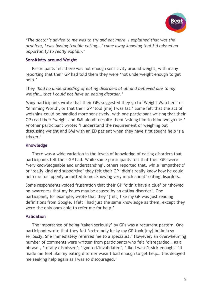

*'The doctor's advice to me was to try and eat more. I explained that was the problem, I was having trouble eating… I came away knowing that I'd missed an opportunity to really explain.'*

#### **Sensitivity around Weight**

Participants felt there was not enough sensitivity around weight, with many reporting that their GP had told them they were 'not underweight enough to get help.'

They *'had no understanding of eating disorders at all and believed due to my weight… that I could not have an eating disorder.'*

Many participants wrote that their GPs suggested they go to 'Weight Watchers' or 'Slimming World', or that their GP 'told [me] I was fat.' Some felt that the act of weighing could be handled more sensitively, with one participant writing that their GP read their 'weight and BMI aloud' despite them 'asking him to blind weigh me.' Another participant wrote: 'I understand the requirement of weighing but discussing weight and BMI with an ED patient when they have first sought help is a trigger.'

#### **Knowledge**

There was a wide variation in the levels of knowledge of eating disorders that participants felt their GP had. While some participants felt that their GPs were 'very knowledgeable and understanding', others reported that, while 'empathetic' or 'really kind and supportive' they felt their GP 'didn't really know how he could help me' or 'openly admitted to not knowing very much about' eating disorders.

Some respondents voiced frustration that their GP 'didn't have a clue' or 'showed no awareness that my issues may be caused by an eating disorder'. One participant, for example, wrote that they '[felt] like my GP was just reading definitions from Google. I felt I had just the same knowledge as them, except they were the only ones able to refer me for help.'

#### **Validation**

The importance of being 'taken seriously' by GPs was a recurrent pattern. One participant wrote that they felt 'extremely lucky my GP took [my] bulimia so seriously. She immediately referred me to a specialist.' However, an overwhelming number of comments were written from participants who felt 'disregarded… as a phrase', 'totally dismissed', 'ignored/invalidated', 'like I wasn't sick enough.' 'It made me feel like my eating disorder wasn't bad enough to get help… this delayed me seeking help again as I was so discouraged.'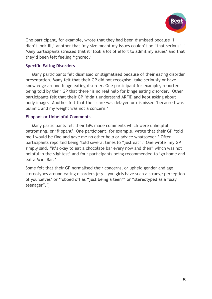

One participant, for example, wrote that they had been dismissed because 'I didn't look ill,' another that 'my size meant my issues couldn't be "that serious".' Many participants stressed that it 'took a lot of effort to admit my issues' and that they'd been left feeling 'ignored.'

#### **Specific Eating Disorders**

Many participants felt dismissed or stigmatised because of their eating disorder presentation. Many felt that their GP did not recognise, take seriously or have knowledge around binge eating disorder. One participant for example, reported being told by their GP that there 'is no real help for binge eating disorder.' Other participants felt that their GP 'didn't understand ARFID and kept asking about body image.' Another felt that their care was delayed or dismissed 'because I was bulimic and my weight was not a concern.'

#### **Flippant or Unhelpful Comments**

Many participants felt their GPs made comments which were unhelpful, patronising, or 'flippant'. One participant, for example, wrote that their GP 'told me I would be fine and gave me no other help or advice whatsoever.' Often participants reported being 'told several times to "just eat".' One wrote 'my GP simply said, "it's okay to eat a chocolate bar every now and then" which was not helpful in the slightest' and four participants being recommended to 'go home and eat a Mars Bar.'

Some felt that their GP normalised their concerns, or upheld gender and age stereotypes around eating disorders (e.g. 'you girls have such a strange perception of yourselves' or 'fobbed off as "just being a teen"' or "stereotyped as a fussy teenager".')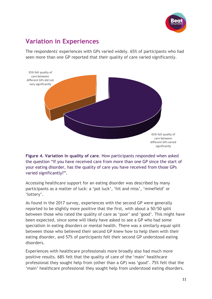

# <span id="page-12-0"></span>**Variation in Experiences**

The respondents' experiences with GPs varied widely. 65% of participants who had seen more than one GP reported that their quality of care varied significantly.



**Figure 4. Variation in quality of care**. How participants responded when asked the question "If you have received care from more than one GP since the start of your eating disorder, has the quality of care you have received from those GPs varied significantly?".

Accessing healthcare support for an eating disorder was described by many participants as a matter of luck: a 'pot luck', 'hit and miss', 'minefield' or 'lottery'.

As found in the 2017 survey, experiences with the second GP were generally reported to be slightly more positive that the first, with about a 50/50 split between those who rated the quality of care as 'poor' and 'good'. This might have been expected, since some will likely have asked to see a GP who had some specialism in eating disorders or mental health. There was a similarly equal split between those who believed their second GP knew how to help them with their eating disorder, and 57% of participants felt their second GP understood eating disorders.

Experiences with healthcare professionals more broadly also had much more positive results. 68% felt that the quality of care of the 'main' healthcare professional they sought help from (other than a GP) was 'good'. 75% felt that the 'main' healthcare professional they sought help from understood eating disorders.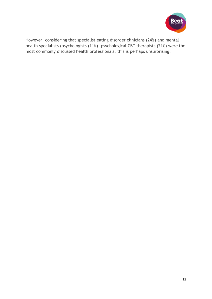

However, considering that specialist eating disorder clinicians (24%) and mental health specialists (psychologists (11%), psychological CBT therapists (21%) were the most commonly discussed health professionals, this is perhaps unsurprising.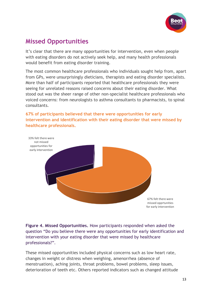

# <span id="page-14-0"></span>**Missed Opportunities**

It's clear that there are many opportunities for intervention, even when people with eating disorders do not actively seek help, and many health professionals would benefit from eating disorder training.

The most common healthcare professionals who individuals sought help from, apart from GPs, were unsurprisingly dieticians, therapists and eating disorder specialists. More than half of participants reported that healthcare professionals they were seeing for unrelated reasons raised concerns about their eating disorder. What stood out was the sheer range of other non-specialist healthcare professionals who voiced concerns: from neurologists to asthma consultants to pharmacists, to spinal consultants.

#### **67% of participants believed that there were opportunities for early intervention and identification with their eating disorder that were missed by healthcare professionals.**



**Figure 4. Missed Opportunities.** How participants responded when asked the question "Do you believe there were any opportunities for early identification and intervention with your eating disorder that were missed by healthcare professionals?".

These missed opportunities included physical concerns such as low heart rate, changes in weight or distress when weighing, amenorrhea (absence of menstruation), aching joints, throat problems, bowel problems, sleep issues, deterioration of teeth etc. Others reported indicators such as changed attitude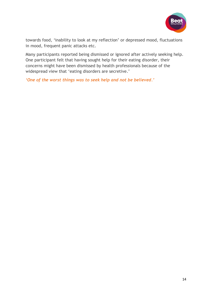

towards food, 'inability to look at my reflection' or depressed mood, fluctuations in mood, frequent panic attacks etc.

Many participants reported being dismissed or ignored after actively seeking help. One participant felt that having sought help for their eating disorder, their concerns might have been dismissed by health professionals because of the widespread view that 'eating disorders are secretive.'

*'One of the worst things was to seek help and not be believed.'*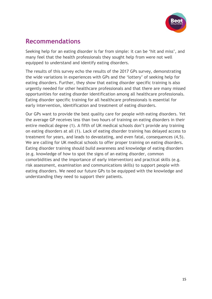

## <span id="page-16-0"></span>**Recommendations**

Seeking help for an eating disorder is far from simple: it can be 'hit and miss', and many feel that the health professionals they sought help from were not well equipped to understand and identify eating disorders.

The results of this survey echo the results of the 2017 GPs survey, demonstrating the wide variations in experiences with GPs and the 'lottery' of seeking help for eating disorders. Further, they show that eating disorder specific training is also urgently needed for other healthcare professionals and that there are many missed opportunities for eating disorder identification among all healthcare professionals. Eating disorder specific training for all healthcare professionals is essential for early intervention, identification and treatment of eating disorders.

Our GPs want to provide the best quality care for people with eating disorders. Yet the average GP receives less than two hours of training on eating disorders in their entire medical degree (1). A fifth of UK medical schools don't provide any training on eating disorders at all (1). Lack of eating disorder training has delayed access to treatment for years, and leads to devastating, and even fatal, consequences (4,5). We are calling for UK medical schools to offer proper training on eating disorders. Eating disorder training should build awareness and knowledge of eating disorders (e.g. knowledge of how to spot the signs of an eating disorder, common comorbidities and the importance of early intervention) and practical skills (e.g. risk assessment, examination and communications skills) to support people with eating disorders. We need our future GPs to be equipped with the knowledge and understanding they need to support their patients.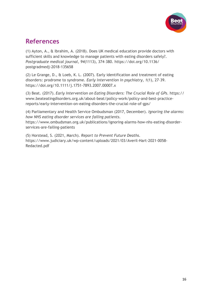

### <span id="page-17-0"></span>**References**

(1) Ayton, A., & Ibrahim, A. (2018). Does UK medical education provide doctors with sufficient skills and knowledge to manage patients with eating disorders safely?. *Postgraduate medical journal*, *94*(1113), 374–380. https://doi.org/10.1136/ postgradmedj-2018-135658

(2) Le Grange, D., & Loeb, K. L. (2007). Early identification and treatment of eating disorders: prodrome to syndrome. *Early intervention in psychiatry*, *1*(1), 27–39. https://doi.org/10.1111/j.1751-7893.2007.00007.x

(3) Beat. (2017). *Early Intervention on Eating Disorders: The Crucial Role of GPs*. https:// www.beateatingdisorders.org.uk/about-beat/policy-work/policy-and-best-practicereports/early-intervention-on-eating-disorders-the-crucial-role-of-gps/

(4) Parliamentary and Health Service Ombudsman (2017, December). *Ignoring the alarms: how NHS eating disorder services are failing patients.* https://www.ombudsman.org.uk/publications/ignoring-alarms-how-nhs-eating-disorderservices-are-failing-patients

(5) Horstead, S. (2021, March). *Report to Prevent Future Deaths.* https://www.judiciary.uk/wp-content/uploads/2021/03/Averil-Hart-2021-0058- Redacted.pdf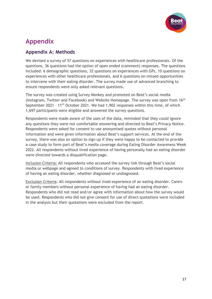

# <span id="page-18-0"></span>**Appendix**

#### **Appendix A: Methods**

We devised a survey of 57 questions on experiences with healthcare professionals. Of the questions, 36 questions had the option of open ended (comment) responses. The questions included: 6 demographic questions, 32 questions on experiences with GPs, 10 questions on experiences with other healthcare professionals, and 6 questions on missed opportunities to intervene with their eating disorder. The survey made use of advanced branching to ensure respondents were only asked relevant questions.

The survey was created using Survey Monkey and promoted on Beat's social media (Instagram, Twitter and Facebook) and Website Homepage. The survey was open from 16<sup>th</sup> September 2021 - 11<sup>th</sup> October 2021. We had 1,902 responses within this time, of which 1,697 participants were eligible and answered the survey questions.

Respondents were made aware of the uses of the data, reminded that they could ignore any questions they were not comfortable answering and directed to Beat's Privacy Notice. Respondents were asked for consent to use anonymised quotes without personal information and were given information about Beat's support services. At the end of the survey, there was also an option to sign up if they were happy to be contacted to provide a case study to form part of Beat's media coverage during Eating Disorder Awareness Week 2022. All respondents without lived experience of having personally had an eating disorder were directed towards a disqualification page.

Inclusion Criteria: All respondents who accessed the survey link through Beat's social media or webpage and agreed to conditions of survey. Respondents with lived experience of having an eating disorder, whether diagnosed or undiagnosed.

Exclusion Criteria: All respondents without lived experience of an eating disorder. Carers or family members without personal experience of having had an eating disorder. Respondents who did not read and/or agree with information about how the survey would be used. Respondents who did not give consent for use of direct quotations were included in the analysis but their quotations were excluded from the report.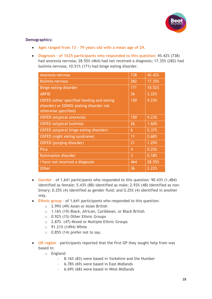

#### **Demographics:**

- **Ages ranged from 13 – 79 years old with a mean age of 29.**
- **Diagnosis – of 1625 participants who responded to this question:** 45.42% (738) had anorexia nervosa; 28.55% (464) had not received a diagnosis; 17.35% (282) had bulimia nervosa; 10.51% (171) had binge eating disorder.

| Anorexia nervosa                                                                                             | 738            | 45.42% |
|--------------------------------------------------------------------------------------------------------------|----------------|--------|
| <b>Bulimia nervosa</b>                                                                                       | 282            | 17.35% |
| Binge eating disorder                                                                                        | 171            | 10.52% |
| <b>ARFID</b>                                                                                                 | 36             | 2.22%  |
| OSFED (other specified feeding and eating<br>disorder) or EDNOS (eating disorder not<br>otherwise specified) | 150            | 9.23%  |
| OSFED (atypical anorexia)                                                                                    | 150            | 9.23%  |
| OSFED (atypical bulimia)                                                                                     | 26             | 1.60%  |
| OSFED (atypical binge eating disorder)                                                                       | 6              | 0.37%  |
| OSFED (night eating syndrome)                                                                                | 11             | 0.68%  |
| OSFED (purging disorder)                                                                                     | 21             | 1.29%  |
| Pica                                                                                                         | $\overline{4}$ | 0.25%  |
| <b>Rumination disorder</b>                                                                                   | 3              | 0.18%  |
| I have not received a diagnosis                                                                              | 464            | 28.55% |
| <b>Other</b>                                                                                                 | 36             | 2.22%  |

- **Gender** of 1,641 participants who responded to this question: 90.43% (1,484) identified as female; 5.43% (88) identified as male; 2.93% (48) identified as nonbinary; 0.25% (4) identified as gender fluid; and 0.25% (4) identified in another way.
- **Ethnic group** of 1,641 participants who responded to this question:
	- o 2.99% (49) Asian or Asian British
	- o 1.16% (19) Black, African, Caribbean, or Black British
	- o 0.92% (15) Other Ethnic Groups
	- o 2.87% (47) Mixed or Multiple Ethnic Groups
	- o 91.21% (1494) White
	- $\circ$  0.85% (14) prefer not to say.
- **UK region** participants reported that the first GP they sought help from was based in:
	- o England:
		- 8.16% (83) were based in Yorkshire and the Humber
		- 6.78% (69) were based in East Midlands
		- 6.69% (68) were based in West Midlands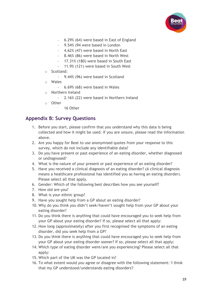

- 6.29% (64) were based in East of England
- 9.54% (94 were based in London
- 4.62% (47) were based in North East
- 8.46% (86) were based in North West
- 17.31% (180) were based in South East
- 11.9% (121) were based in South West
- o Scotland:
	- 9.44% (96) were based in Scotland
- o Wales
	- 6.69% (68) were based in Wales
- o Northern Ireland
	- 2.16% (22) were based in Northern Ireland
- o Other
	- 16 Other

#### **Appendix B: Survey Questions**

- 1. Before you start, please confirm that you understand why this data is being collected and how it might be used. If you are unsure, please read the information above.
- 2. Are you happy for Beat to use anonymised quotes from your response to this survey, which do not include any identifiable data?
- 3. Do you have present or past experience of an eating disorder, whether diagnosed or undiagnosed?
- 4. What is the nature of your present or past experience of an eating disorder?
- 5. Have you received a clinical diagnosis of an eating disorder? (A clinical diagnosis means a healthcare professional has identified you as having an eating disorder). Please select all that apply.
- 6. Gender: Which of the following best describes how you see yourself?
- 7. How old are you?
- 8. What is your ethnic group?
- 9. Have you sought help from a GP about an eating disorder?
- 10. Why do you think you didn't seek/haven't sought help from your GP about your eating disorder?
- 11. Do you think there is anything that could have encouraged you to seek help from your GP about your eating disorder? If so, please select all that apply:
- 12. How long (approximately) after you first recognised the symptoms of an eating disorder, did you seek help from a GP?
- 13. Do you think there is anything that could have encouraged you to seek help from your GP about your eating disorder sooner? If so, please select all that apply:
- 14. Which type of eating disorder were/are you experiencing? Please select all that apply:
- 15. Which part of the UK was the GP located in?
- 16. To what extent would you agree or disagree with the following statement: 'I think that my GP understood/understands eating disorders'?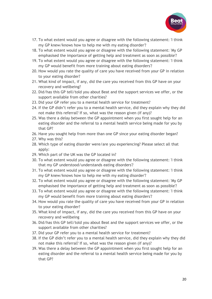

- 17. To what extent would you agree or disagree with the following statement: 'I think my GP knew/knows how to help me with my eating disorder'?
- 18. To what extent would you agree or disagree with the following statement: 'My GP emphasised the importance of getting help and treatment as soon as possible'?
- 19. To what extent would you agree or disagree with the following statement: 'I think my GP would benefit from more training about eating disorders'?
- 20. How would you rate the quality of care you have received from your GP in relation to your eating disorder?
- 21. What kind of impact, if any, did the care you received from this GP have on your recovery and wellbeing?
- 22. Did/has this GP tell/told you about Beat and the support services we offer, or the support available from other charities?
- 23. Did your GP refer you to a mental health service for treatment?
- 24. If the GP didn't refer you to a mental health service, did they explain why they did not make this referral? If so, what was the reason given (if any)?
- 25. Was there a delay between the GP appointment when you first sought help for an eating disorder and the referral to a mental health service being made for you by that GP?
- 26. Have you sought help from more than one GP since your eating disorder began?
- 27. Why was this?
- 28. Which type of eating disorder were/are you experiencing? Please select all that apply:
- 29. Which part of the UK was the GP located in?
- 30. To what extent would you agree or disagree with the following statement: 'I think that my GP understood/understands eating disorders'?
- 31. To what extent would you agree or disagree with the following statement: 'I think my GP knew/knows how to help me with my eating disorder'?
- 32. To what extent would you agree or disagree with the following statement: 'My GP emphasised the importance of getting help and treatment as soon as possible'?
- 33. To what extent would you agree or disagree with the following statement: 'I think my GP would benefit from more training about eating disorders'?
- 34. How would you rate the quality of care you have received from your GP in relation to your eating disorder?
- 35. What kind of impact, if any, did the care you received from this GP have on your recovery and wellbeing
- 36. Did/has this GP tell/told you about Beat and the support services we offer, or the support available from other charities?
- 37. Did your GP refer you to a mental health service for treatment?
- 38. If the GP didn't refer you to a mental health service, did they explain why they did not make this referral? If so, what was the reason given (if any)?
- 39. Was there a delay between the GP appointment when you first sought help for an eating disorder and the referral to a mental health service being made for you by that GP?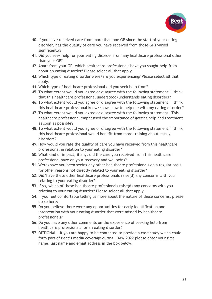

- 40. If you have received care from more than one GP since the start of your eating disorder, has the quality of care you have received from those GPs varied significantly?
- 41. Did you seek help for your eating disorder from any healthcare professional other than your GP?
- 42. Apart from your GP, which healthcare professionals have you sought help from about an eating disorder? Please select all that apply.
- 43. Which type of eating disorder were/are you experiencing? Please select all that apply:
- 44. Which type of healthcare professional did you seek help from?
- 45. To what extent would you agree or disagree with the following statement: 'I think that this healthcare professional understood/understands eating disorders'?
- 46. To what extent would you agree or disagree with the following statement: 'I think this healthcare professional knew/knows how to help me with my eating disorder'?
- 47. To what extent would you agree or disagree with the following statement: 'This healthcare professional emphasised the importance of getting help and treatment as soon as possible'?
- 48. To what extent would you agree or disagree with the following statement: 'I think this healthcare professional would benefit from more training about eating disorders'?
- 49. How would you rate the quality of care you have received from this healthcare professional in relation to your eating disorder?
- 50. What kind of impact, if any, did the care you received from this healthcare professional have on your recovery and wellbeing?
- 51. Were/have you been seeing any other healthcare professionals on a regular basis for other reasons not directly related to your eating disorder?
- 52. Did/have these other healthcare professionals raise(d) any concerns with you relating to your eating disorder?
- 53. If so, which of these healthcare professionals raise(d) any concerns with you relating to your eating disorder? Please select all that apply.
- 54. If you feel comfortable telling us more about the nature of these concerns, please do so here:
- 55. Do you believe there were any opportunities for early identification and intervention with your eating disorder that were missed by healthcare professionals?
- 56. Do you have any other comments on the experience of seeking help from healthcare professionals for an eating disorder?
- 57. OPTIONAL If you are happy to be contacted to provide a case study which could form part of Beat's media coverage during EDAW 2022 please enter your first name, last name and email address in the box below: